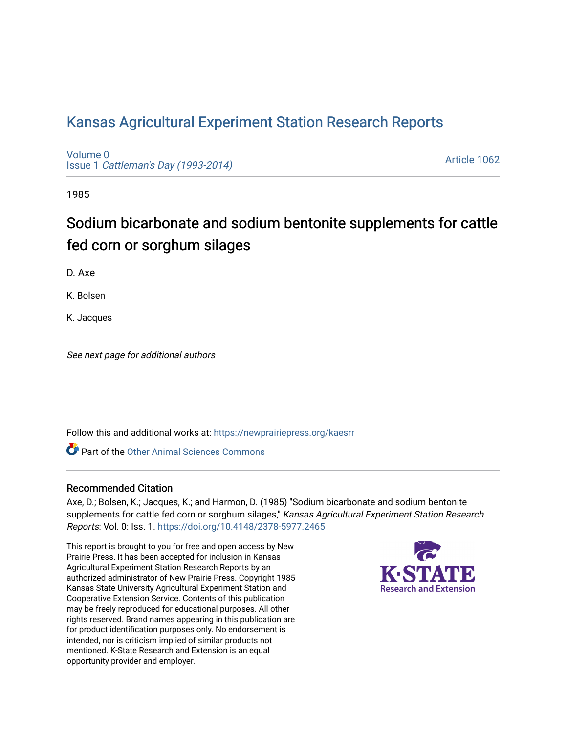# [Kansas Agricultural Experiment Station Research Reports](https://newprairiepress.org/kaesrr)

[Volume 0](https://newprairiepress.org/kaesrr/vol0) Issue 1 [Cattleman's Day \(1993-2014\)](https://newprairiepress.org/kaesrr/vol0/iss1) 

[Article 1062](https://newprairiepress.org/kaesrr/vol0/iss1/1062) 

1985

# Sodium bicarbonate and sodium bentonite supplements for cattle fed corn or sorghum silages

D. Axe

K. Bolsen

K. Jacques

See next page for additional authors

Follow this and additional works at: [https://newprairiepress.org/kaesrr](https://newprairiepress.org/kaesrr?utm_source=newprairiepress.org%2Fkaesrr%2Fvol0%2Fiss1%2F1062&utm_medium=PDF&utm_campaign=PDFCoverPages) 

**C** Part of the [Other Animal Sciences Commons](http://network.bepress.com/hgg/discipline/82?utm_source=newprairiepress.org%2Fkaesrr%2Fvol0%2Fiss1%2F1062&utm_medium=PDF&utm_campaign=PDFCoverPages)

## Recommended Citation

Axe, D.; Bolsen, K.; Jacques, K.; and Harmon, D. (1985) "Sodium bicarbonate and sodium bentonite supplements for cattle fed corn or sorghum silages," Kansas Agricultural Experiment Station Research Reports: Vol. 0: Iss. 1.<https://doi.org/10.4148/2378-5977.2465>

This report is brought to you for free and open access by New Prairie Press. It has been accepted for inclusion in Kansas Agricultural Experiment Station Research Reports by an authorized administrator of New Prairie Press. Copyright 1985 Kansas State University Agricultural Experiment Station and Cooperative Extension Service. Contents of this publication may be freely reproduced for educational purposes. All other rights reserved. Brand names appearing in this publication are for product identification purposes only. No endorsement is intended, nor is criticism implied of similar products not mentioned. K-State Research and Extension is an equal opportunity provider and employer.

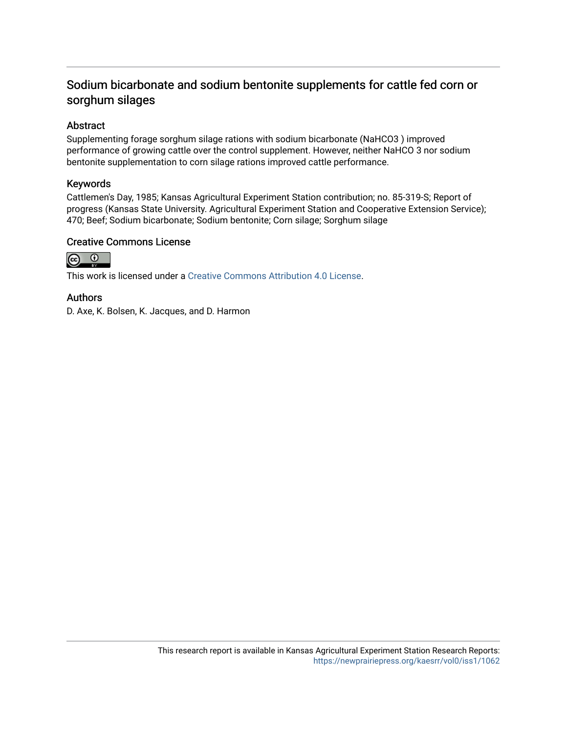# Sodium bicarbonate and sodium bentonite supplements for cattle fed corn or sorghum silages

# Abstract

Supplementing forage sorghum silage rations with sodium bicarbonate (NaHCO3 ) improved performance of growing cattle over the control supplement. However, neither NaHCO 3 nor sodium bentonite supplementation to corn silage rations improved cattle performance.

### Keywords

Cattlemen's Day, 1985; Kansas Agricultural Experiment Station contribution; no. 85-319-S; Report of progress (Kansas State University. Agricultural Experiment Station and Cooperative Extension Service); 470; Beef; Sodium bicarbonate; Sodium bentonite; Corn silage; Sorghum silage

### Creative Commons License



This work is licensed under a [Creative Commons Attribution 4.0 License](https://creativecommons.org/licenses/by/4.0/).

## Authors

D. Axe, K. Bolsen, K. Jacques, and D. Harmon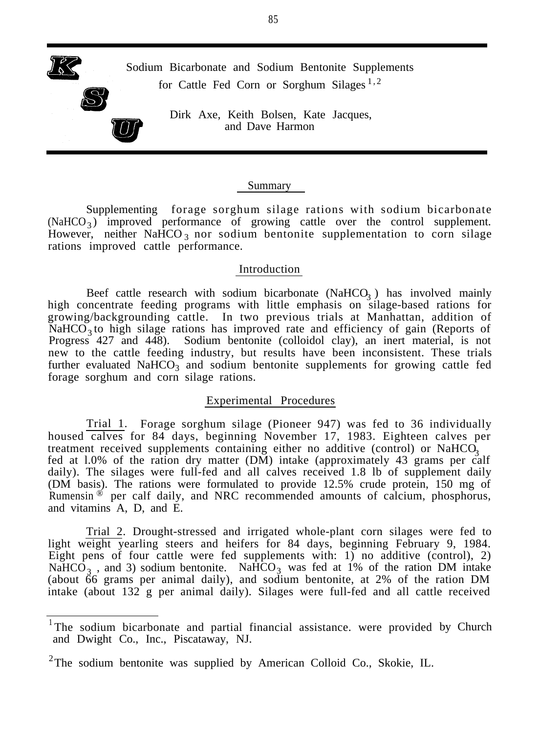Sodium Bicarbonate and Sodium Bentonite Supplements for Cattle Fed Corn or Sorghum Silages  $1,2$ 

> Dirk Axe, Keith Bolsen, Kate Jacques, and Dave Harmon

#### Summary

Supplementing forage sorghum silage rations with sodium bicarbonate (NaHCO<sub>3</sub>) improved performance of growing cattle over the control supplement. However, neither NaHCO<sub>3</sub> nor sodium bentonite supplementation to corn silage rations improved cattle performance.

#### Introduction

Beef cattle research with sodium bicarbonate  $(Na HCO<sub>3</sub>)$  has involved mainly high concentrate feeding programs with little emphasis on silage-based rations for growing/backgrounding cattle. In two previous trials at Manhattan, addition of NaHCO<sub>3</sub> to high silage rations has improved rate and efficiency of gain (Reports of Progress 427 and 448). Sodium bentonite (colloidol clay), an inert material, is not new to the cattle feeding industry, but results have been inconsistent. These trials further evaluated  $\text{NaHCO}_3$  and sodium bentonite supplements for growing cattle fed forage sorghum and corn silage rations.

#### Experimental Procedures

Trial 1. Forage sorghum silage (Pioneer 947) was fed to 36 individually housed calves for 84 days, beginning November 17, 1983. Eighteen calves per treatment received supplements containing either no additive (control) or  $NaHCO<sub>3</sub>$ fed at l.0% of the ration dry matter (DM) intake (approximately 43 grams per calf daily). The silages were full-fed and all calves received 1.8 lb of supplement daily (DM basis). The rations were formulated to provide 12.5% crude protein, 150 mg of Rumensin  $\mathscr{B}$  per calf daily, and NRC recommended amounts of calcium, phosphorus, and vitamins A, D, and E.

Trial 2. Drought-stressed and irrigated whole-plant corn silages were fed to light weight yearling steers and heifers for 84 days, beginning February 9, 1984. Eight pens of four cattle were fed supplements with: 1) no additive (control), 2) NaHCO<sub>3</sub>, and 3) sodium bentonite. NaHCO<sub>3</sub> was fed at 1% of the ration DM intake (about 66 grams per animal daily), and sodium bentonite, at 2% of the ration DM intake (about 132 g per animal daily). Silages were full-fed and all cattle received

<sup>&</sup>lt;sup>1</sup>The sodium bicarbonate and partial financial assistance. were provided by Church and Dwight Co., Inc., Piscataway, NJ.

<sup>&</sup>lt;sup>2</sup>The sodium bentonite was supplied by American Colloid Co., Skokie, IL.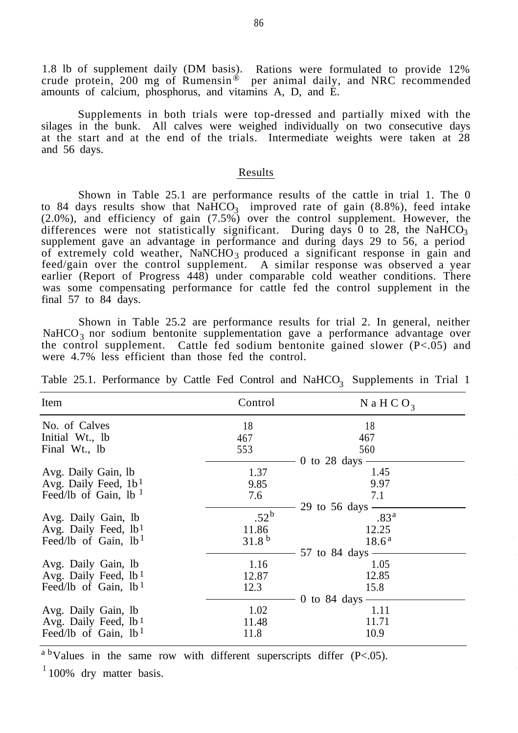1.8 lb of supplement daily (DM basis). Rations were formulated to provide 12% crude protein, 200 mg of Rumensin<sup>®</sup> per animal daily, and NRC recommended amounts of calcium, phosphorus, and vitamins A, D, and E.

Supplements in both trials were top-dressed and partially mixed with the silages in the bunk. All calves were weighed individually on two consecutive days at the start and at the end of the trials. Intermediate weights were taken at 28 and 56 days.

#### Results

Shown in Table 25.1 are performance results of the cattle in trial 1. The 0 to 84 days results show that  $NaHCO<sub>3</sub>$  improved rate of gain  $(8.8\%)$ , feed intake (2.0%), and efficiency of gain (7.5%) over the control supplement. However, the differences were not statistically significant. During days  $0$  to 28, the NaHCO<sub>3</sub> supplement gave an advantage in performance and during days 29 to 56, a period of extremely cold weather, NaNCHO<sub>3</sub> produced a significant response in gain and feed/gain over the control supplement. A similar response was observed a year earlier (Report of Progress 448) under comparable cold weather conditions. There was some compensating performance for cattle fed the control supplement in the final 57 to 84 days.

Shown in Table 25.2 are performance results for trial 2. In general, neither NaHCO<sub>3</sub> nor sodium bentonite supplementation gave a performance advantage over the control supplement. Cattle fed sodium bentonite gained slower (P<.05) and were 4.7% less efficient than those fed the control.

| Item                             | Control           | N a H C O <sub>3</sub> |
|----------------------------------|-------------------|------------------------|
| No. of Calves                    | 18                | 18                     |
| Initial Wt., lb                  | 467               | 467                    |
| Final Wt., lb                    | 553               | 560                    |
|                                  |                   | 0 to 28 days           |
| Avg. Daily Gain, lb              | 1.37              | 1.45                   |
| Avg. Daily Feed, $1b1$           | 9.85              | 9.97                   |
| Feed/lb of Gain, $1b1$           | 7.6               | 7.1                    |
|                                  |                   | 29 to $56$ days -      |
| Avg. Daily Gain, lb              | $.52^{\rm b}$     | .83 <sup>a</sup>       |
| Avg. Daily Feed, $1b1$           | 11.86             | 12.25                  |
| Feed/lb of Gain, $1b1$           | 31.8 <sup>b</sup> | $18.6^{\rm a}$         |
|                                  |                   | 57 to 84 days $\equiv$ |
| Avg. Daily Gain, lb              | 1.16              | 1.05                   |
| Avg. Daily Feed, lb <sup>1</sup> | 12.87             | 12.85                  |
| Feed/lb of Gain, $1b1$           | 12.3              | 15.8                   |
|                                  |                   | 0 to $84$ days         |
| Avg. Daily Gain, lb              | 1.02              | 1.11                   |
| Avg. Daily Feed, lb <sup>1</sup> | 11.48             | 11.71                  |
| Feed/lb of Gain, $1b1$           | 11.8              | 10.9                   |

Table 25.1. Performance by Cattle Fed Control and  $\text{NaHCO}_3$  Supplements in Trial 1

 $a<sup>b</sup>$  Values in the same row with different superscripts differ (P<.05).

 $1100\%$  dry matter basis.